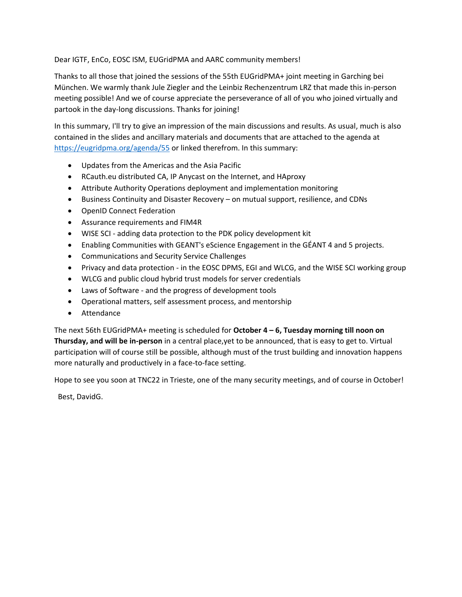Dear IGTF, EnCo, EOSC ISM, EUGridPMA and AARC community members!

Thanks to all those that joined the sessions of the 55th EUGridPMA+ joint meeting in Garching bei München. We warmly thank Jule Ziegler and the Leinbiz Rechenzentrum LRZ that made this in-person meeting possible! And we of course appreciate the perseverance of all of you who joined virtually and partook in the day-long discussions. Thanks for joining!

In this summary, I'll try to give an impression of the main discussions and results. As usual, much is also contained in the slides and ancillary materials and documents that are attached to the agenda at <https://eugridpma.org/agenda/55> or linked therefrom. In this summary:

- Updates from the Americas and the Asia Pacific
- RCauth.eu distributed CA, IP Anycast on the Internet, and HAproxy
- Attribute Authority Operations deployment and implementation monitoring
- Business Continuity and Disaster Recovery on mutual support, resilience, and CDNs
- OpenID Connect Federation
- Assurance requirements and FIM4R
- WISE SCI adding data protection to the PDK policy development kit
- Enabling Communities with GEANT's eScience Engagement in the GÉANT 4 and 5 projects.
- Communications and Security Service Challenges
- Privacy and data protection in the EOSC DPMS, EGI and WLCG, and the WISE SCI working group
- WLCG and public cloud hybrid trust models for server credentials
- Laws of Software and the progress of development tools
- Operational matters, self assessment process, and mentorship
- Attendance

The next 56th EUGridPMA+ meeting is scheduled for **October 4 – 6, Tuesday morning till noon on Thursday, and will be in-person** in a central place,yet to be announced, that is easy to get to. Virtual participation will of course still be possible, although must of the trust building and innovation happens more naturally and productively in a face-to-face setting.

Hope to see you soon at TNC22 in Trieste, one of the many security meetings, and of course in October!

Best, DavidG.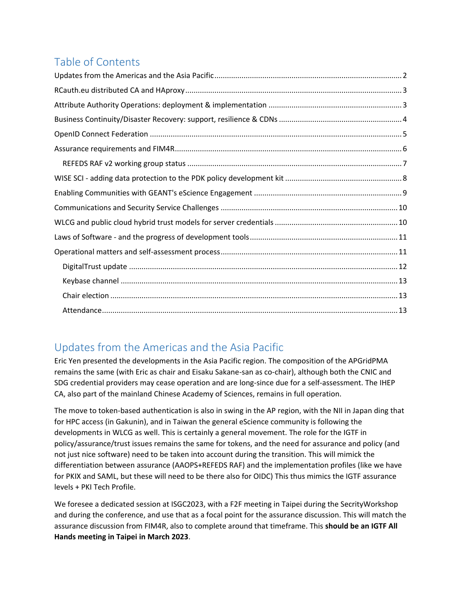# Table of Contents

# <span id="page-1-0"></span>Updates from the Americas and the Asia Pacific

Eric Yen presented the developments in the Asia Pacific region. The composition of the APGridPMA remains the same (with Eric as chair and Eisaku Sakane-san as co-chair), although both the CNIC and SDG credential providers may cease operation and are long-since due for a self-assessment. The IHEP CA, also part of the mainland Chinese Academy of Sciences, remains in full operation.

The move to token-based authentication is also in swing in the AP region, with the NII in Japan ding that for HPC access (in Gakunin), and in Taiwan the general eScience community is following the developments in WLCG as well. This is certainly a general movement. The role for the IGTF in policy/assurance/trust issues remains the same for tokens, and the need for assurance and policy (and not just nice software) need to be taken into account during the transition. This will mimick the differentiation between assurance (AAOPS+REFEDS RAF) and the implementation profiles (like we have for PKIX and SAML, but these will need to be there also for OIDC) This thus mimics the IGTF assurance levels + PKI Tech Profile.

We foresee a dedicated session at ISGC2023, with a F2F meeting in Taipei during the SecrityWorkshop and during the conference, and use that as a focal point for the assurance discussion. This will match the assurance discussion from FIM4R, also to complete around that timeframe. This **should be an IGTF All Hands meeting in Taipei in March 2023**.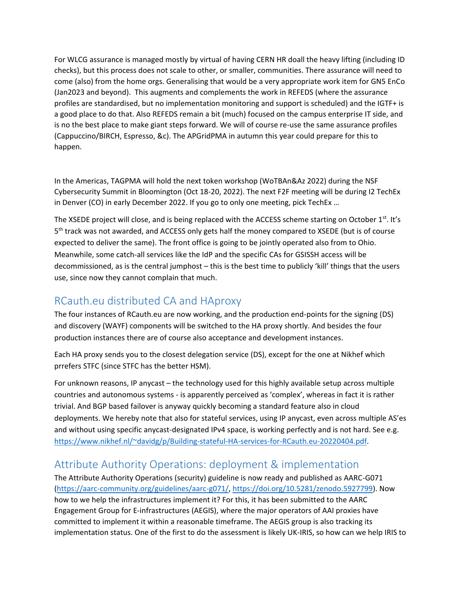For WLCG assurance is managed mostly by virtual of having CERN HR doall the heavy lifting (including ID checks), but this process does not scale to other, or smaller, communities. There assurance will need to come (also) from the home orgs. Generalising that would be a very appropriate work item for GN5 EnCo (Jan2023 and beyond). This augments and complements the work in REFEDS (where the assurance profiles are standardised, but no implementation monitoring and support is scheduled) and the IGTF+ is a good place to do that. Also REFEDS remain a bit (much) focused on the campus enterprise IT side, and is no the best place to make giant steps forward. We will of course re-use the same assurance profiles (Cappuccino/BIRCH, Espresso, &c). The APGridPMA in autumn this year could prepare for this to happen.

In the Americas, TAGPMA will hold the next token workshop (WoTBAn&Az 2022) during the NSF Cybersecurity Summit in Bloomington (Oct 18-20, 2022). The next F2F meeting will be during I2 TechEx in Denver (CO) in early December 2022. If you go to only one meeting, pick TechEx ...

The XSEDE project will close, and is being replaced with the ACCESS scheme starting on October 1st. It's 5<sup>th</sup> track was not awarded, and ACCESS only gets half the money compared to XSEDE (but is of course expected to deliver the same). The front office is going to be jointly operated also from to Ohio. Meanwhile, some catch-all services like the IdP and the specific CAs for GSISSH access will be decommissioned, as is the central jumphost – this is the best time to publicly 'kill' things that the users use, since now they cannot complain that much.

### <span id="page-2-0"></span>RCauth.eu distributed CA and HAproxy

The four instances of RCauth.eu are now working, and the production end-points for the signing (DS) and discovery (WAYF) components will be switched to the HA proxy shortly. And besides the four production instances there are of course also acceptance and development instances.

Each HA proxy sends you to the closest delegation service (DS), except for the one at Nikhef which prrefers STFC (since STFC has the better HSM).

For unknown reasons, IP anycast – the technology used for this highly available setup across multiple countries and autonomous systems - is apparently perceived as 'complex', whereas in fact it is rather trivial. And BGP based failover is anyway quickly becoming a standard feature also in cloud deployments. We hereby note that also for stateful services, using IP anycast, even across multiple AS'es and without using specific anycast-designated IPv4 space, is working perfectly and is not hard. See e.g. [https://www.nikhef.nl/~davidg/p/Building-stateful-HA-services-for-RCauth.eu-20220404.pdf.](https://www.nikhef.nl/~davidg/p/Building-stateful-HA-services-for-RCauth.eu-20220404.pdf)

# <span id="page-2-1"></span>Attribute Authority Operations: deployment & implementation

The Attribute Authority Operations (security) guideline is now ready and published as AARC-G071 [\(https://aarc-community.org/guidelines/aarc-g071/,](https://aarc-community.org/guidelines/aarc-g071/) [https://doi.org/10.5281/zenodo.5927799\)](https://doi.org/10.5281/zenodo.5927799). Now how to we help the infrastructures implement it? For this, it has been submitted to the AARC Engagement Group for E-infrastructures (AEGIS), where the major operators of AAI proxies have committed to implement it within a reasonable timeframe. The AEGIS group is also tracking its implementation status. One of the first to do the assessment is likely UK-IRIS, so how can we help IRIS to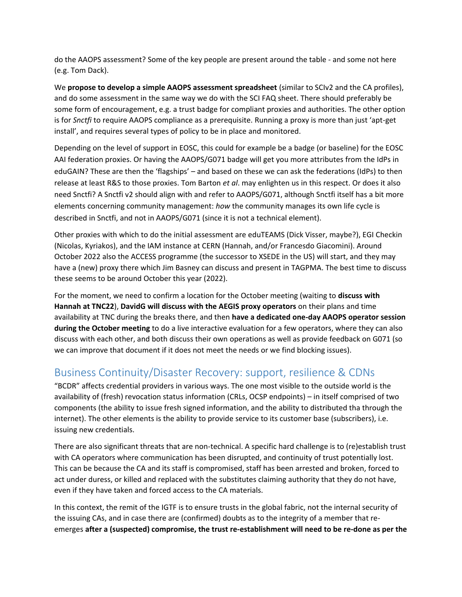do the AAOPS assessment? Some of the key people are present around the table - and some not here (e.g. Tom Dack).

We **propose to develop a simple AAOPS assessment spreadsheet** (similar to SCIv2 and the CA profiles), and do some assessment in the same way we do with the SCI FAQ sheet. There should preferably be some form of encouragement, e.g. a trust badge for compliant proxies and authorities. The other option is for *Snctfi* to require AAOPS compliance as a prerequisite. Running a proxy is more than just 'apt-get install', and requires several types of policy to be in place and monitored.

Depending on the level of support in EOSC, this could for example be a badge (or baseline) for the EOSC AAI federation proxies. Or having the AAOPS/G071 badge will get you more attributes from the IdPs in eduGAIN? These are then the 'flagships' – and based on these we can ask the federations (IdPs) to then release at least R&S to those proxies. Tom Barton *et al*. may enlighten us in this respect. Or does it also need Snctfi? A Snctfi v2 should align with and refer to AAOPS/G071, although Snctfi itself has a bit more elements concerning community management: *how* the community manages its own life cycle is described in Snctfi, and not in AAOPS/G071 (since it is not a technical element).

Other proxies with which to do the initial assessment are eduTEAMS (Dick Visser, maybe?), EGI Checkin (Nicolas, Kyriakos), and the IAM instance at CERN (Hannah, and/or Francesdo Giacomini). Around October 2022 also the ACCESS programme (the successor to XSEDE in the US) will start, and they may have a (new) proxy there which Jim Basney can discuss and present in TAGPMA. The best time to discuss these seems to be around October this year (2022).

For the moment, we need to confirm a location for the October meeting (waiting to **discuss with Hannah at TNC22**), **DavidG will discuss with the AEGIS proxy operators** on their plans and time availability at TNC during the breaks there, and then **have a dedicated one-day AAOPS operator session during the October meeting** to do a live interactive evaluation for a few operators, where they can also discuss with each other, and both discuss their own operations as well as provide feedback on G071 (so we can improve that document if it does not meet the needs or we find blocking issues).

## <span id="page-3-0"></span>Business Continuity/Disaster Recovery: support, resilience & CDNs

"BCDR" affects credential providers in various ways. The one most visible to the outside world is the availability of (fresh) revocation status information (CRLs, OCSP endpoints) – in itself comprised of two components (the ability to issue fresh signed information, and the ability to distributed tha through the internet). The other elements is the ability to provide service to its customer base (subscribers), i.e. issuing new credentials.

There are also significant threats that are non-technical. A specific hard challenge is to (re)establish trust with CA operators where communication has been disrupted, and continuity of trust potentially lost. This can be because the CA and its staff is compromised, staff has been arrested and broken, forced to act under duress, or killed and replaced with the substitutes claiming authority that they do not have, even if they have taken and forced access to the CA materials.

In this context, the remit of the IGTF is to ensure trusts in the global fabric, not the internal security of the issuing CAs, and in case there are (confirmed) doubts as to the integrity of a member that reemerges **after a (suspected) compromise, the trust re-establishment will need to be re-done as per the**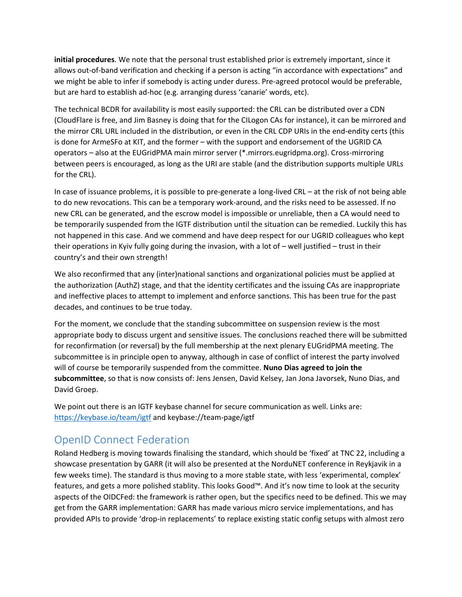**initial procedures**. We note that the personal trust established prior is extremely important, since it allows out-of-band verification and checking if a person is acting "in accordance with expectations" and we might be able to infer if somebody is acting under duress. Pre-agreed protocol would be preferable, but are hard to establish ad-hoc (e.g. arranging duress 'canarie' words, etc).

The technical BCDR for availability is most easily supported: the CRL can be distributed over a CDN (CloudFlare is free, and Jim Basney is doing that for the CILogon CAs for instance), it can be mirrored and the mirror CRL URL included in the distribution, or even in the CRL CDP URIs in the end-endity certs (this is done for ArmeSFo at KIT, and the former – with the support and endorsement of the UGRID CA operators – also at the EUGridPMA main mirror server (\*.mirrors.eugridpma.org). Cross-mirroring between peers is encouraged, as long as the URI are stable (and the distribution supports multiple URLs for the CRL).

In case of issuance problems, it is possible to pre-generate a long-lived CRL – at the risk of not being able to do new revocations. This can be a temporary work-around, and the risks need to be assessed. If no new CRL can be generated, and the escrow model is impossible or unreliable, then a CA would need to be temporarily suspended from the IGTF distribution until the situation can be remedied. Luckily this has not happened in this case. And we commend and have deep respect for our UGRID colleagues who kept their operations in Kyiv fully going during the invasion, with a lot of – well justified – trust in their country's and their own strength!

We also reconfirmed that any (inter)national sanctions and organizational policies must be applied at the authorization (AuthZ) stage, and that the identity certificates and the issuing CAs are inappropriate and ineffective places to attempt to implement and enforce sanctions. This has been true for the past decades, and continues to be true today.

For the moment, we conclude that the standing subcommittee on suspension review is the most appropriate body to discuss urgent and sensitive issues. The conclusions reached there will be submitted for reconfirmation (or reversal) by the full membership at the next plenary EUGridPMA meeting. The subcommittee is in principle open to anyway, although in case of conflict of interest the party involved will of course be temporarily suspended from the committee. **Nuno Dias agreed to join the subcommittee**, so that is now consists of: Jens Jensen, David Kelsey, Jan Jona Javorsek, Nuno Dias, and David Groep.

We point out there is an IGTF keybase channel for secure communication as well. Links are: <https://keybase.io/team/igtf> and keybase://team-page/igtf

# <span id="page-4-0"></span>OpenID Connect Federation

Roland Hedberg is moving towards finalising the standard, which should be 'fixed' at TNC 22, including a showcase presentation by GARR (it will also be presented at the NorduNET conference in Reykjavik in a few weeks time). The standard is thus moving to a more stable state, with less 'experimental, complex' features, and gets a more polished stablity. This looks Good™. And it's now time to look at the security aspects of the OIDCFed: the framework is rather open, but the specifics need to be defined. This we may get from the GARR implementation: GARR has made various micro service implementations, and has provided APIs to provide 'drop-in replacements' to replace existing static config setups with almost zero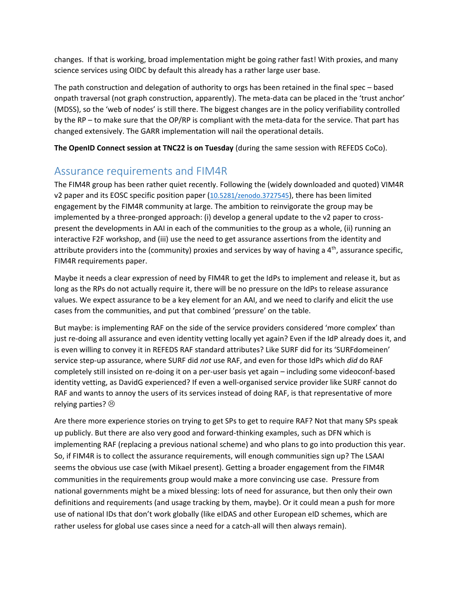changes. If that is working, broad implementation might be going rather fast! With proxies, and many science services using OIDC by default this already has a rather large user base.

The path construction and delegation of authority to orgs has been retained in the final spec – based onpath traversal (not graph construction, apparently). The meta-data can be placed in the 'trust anchor' (MDSS), so the 'web of nodes' is still there. The biggest changes are in the policy verifiability controlled by the RP – to make sure that the OP/RP is compliant with the meta-data for the service. That part has changed extensively. The GARR implementation will nail the operational details.

**The OpenID Connect session at TNC22 is on Tuesday** (during the same session with REFEDS CoCo).

### <span id="page-5-0"></span>Assurance requirements and FIM4R

The FIM4R group has been rather quiet recently. Following the (widely downloaded and quoted) VIM4R v2 paper and its EOSC specific position paper ([10.5281/zenodo.3727545](https://doi.org/10.5281/zenodo.3727545)), there has been limited engagement by the FIM4R community at large. The ambition to reinvigorate the group may be implemented by a three-pronged approach: (i) develop a general update to the v2 paper to crosspresent the developments in AAI in each of the communities to the group as a whole, (ii) running an interactive F2F workshop, and (iii) use the need to get assurance assertions from the identity and attribute providers into the (community) proxies and services by way of having a  $4<sup>th</sup>$ , assurance specific, FIM4R requirements paper.

Maybe it needs a clear expression of need by FIM4R to get the IdPs to implement and release it, but as long as the RPs do not actually require it, there will be no pressure on the IdPs to release assurance values. We expect assurance to be a key element for an AAI, and we need to clarify and elicit the use cases from the communities, and put that combined 'pressure' on the table.

But maybe: is implementing RAF on the side of the service providers considered 'more complex' than just re-doing all assurance and even identity vetting locally yet again? Even if the IdP already does it, and is even willing to convey it in REFEDS RAF standard attributes? Like SURF did for its 'SURFdomeinen' service step-up assurance, where SURF did *not* use RAF, and even for those IdPs which *did* do RAF completely still insisted on re-doing it on a per-user basis yet again – including some videoconf-based identity vetting, as DavidG experienced? If even a well-organised service provider like SURF cannot do RAF and wants to annoy the users of its services instead of doing RAF, is that representative of more relying parties?  $\odot$ 

Are there more experience stories on trying to get SPs to get to require RAF? Not that many SPs speak up publicly. But there are also very good and forward-thinking examples, such as DFN which is implementing RAF (replacing a previous national scheme) and who plans to go into production this year. So, if FIM4R is to collect the assurance requirements, will enough communities sign up? The LSAAI seems the obvious use case (with Mikael present). Getting a broader engagement from the FIM4R communities in the requirements group would make a more convincing use case. Pressure from national governments might be a mixed blessing: lots of need for assurance, but then only their own definitions and requirements (and usage tracking by them, maybe). Or it could mean a push for more use of national IDs that don't work globally (like eIDAS and other European eID schemes, which are rather useless for global use cases since a need for a catch-all will then always remain).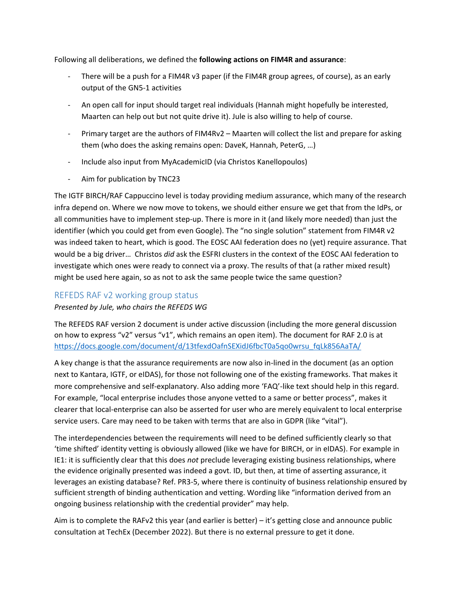Following all deliberations, we defined the **following actions on FIM4R and assurance**:

- There will be a push for a FIM4R v3 paper (if the FIM4R group agrees, of course), as an early output of the GN5-1 activities
- An open call for input should target real individuals (Hannah might hopefully be interested, Maarten can help out but not quite drive it). Jule is also willing to help of course.
- Primary target are the authors of FIM4Rv2 Maarten will collect the list and prepare for asking them (who does the asking remains open: DaveK, Hannah, PeterG, …)
- Include also input from MyAcademicID (via Christos Kanellopoulos)
- Aim for publication by TNC23

The IGTF BIRCH/RAF Cappuccino level is today providing medium assurance, which many of the research infra depend on. Where we now move to tokens, we should either ensure we get that from the IdPs, or all communities have to implement step-up. There is more in it (and likely more needed) than just the identifier (which you could get from even Google). The "no single solution" statement from FIM4R v2 was indeed taken to heart, which is good. The EOSC AAI federation does no (yet) require assurance. That would be a big driver… Christos *did* ask the ESFRI clusters in the context of the EOSC AAI federation to investigate which ones were ready to connect via a proxy. The results of that (a rather mixed result) might be used here again, so as not to ask the same people twice the same question?

### <span id="page-6-0"></span>REFEDS RAF v2 working group status

#### *Presented by Jule, who chairs the REFEDS WG*

The REFEDS RAF version 2 document is under active discussion (including the more general discussion on how to express "v2" versus "v1", which remains an open item). The document for RAF 2.0 is at [https://docs.google.com/document/d/13tfexdOafnSEXidJ6fbcT0a5qo0wrsu\\_fqLk856AaTA/](https://docs.google.com/document/d/13tfexdOafnSEXidJ6fbcT0a5qo0wrsu_fqLk856AaTA/)

A key change is that the assurance requirements are now also in-lined in the document (as an option next to Kantara, IGTF, or eIDAS), for those not following one of the existing frameworks. That makes it more comprehensive and self-explanatory. Also adding more 'FAQ'-like text should help in this regard. For example, "local enterprise includes those anyone vetted to a same or better process", makes it clearer that local-enterprise can also be asserted for user who are merely equivalent to local enterprise service users. Care may need to be taken with terms that are also in GDPR (like "vital").

The interdependencies between the requirements will need to be defined sufficiently clearly so that 'time shifted' identity vetting is obviously allowed (like we have for BIRCH, or in eIDAS). For example in IE1: it is sufficiently clear that this does *not* preclude leveraging existing business relationships, where the evidence originally presented was indeed a govt. ID, but then, at time of asserting assurance, it leverages an existing database? Ref. PR3-5, where there is continuity of business relationship ensured by sufficient strength of binding authentication and vetting. Wording like "information derived from an ongoing business relationship with the credential provider" may help.

Aim is to complete the RAFv2 this year (and earlier is better) – it's getting close and announce public consultation at TechEx (December 2022). But there is no external pressure to get it done.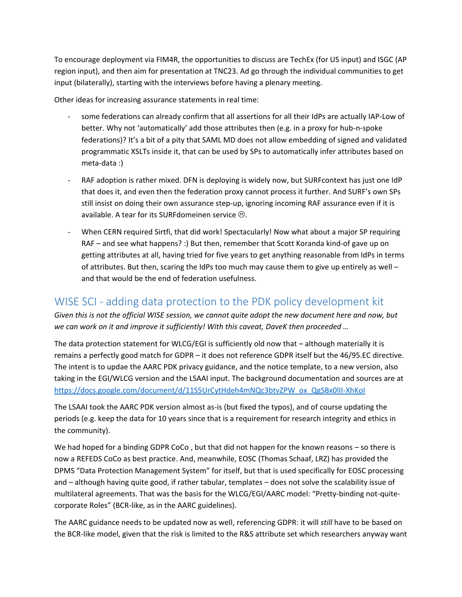To encourage deployment via FIM4R, the opportunities to discuss are TechEx (for US input) and ISGC (AP region input), and then aim for presentation at TNC23. Ad go through the individual communities to get input (bilaterally), starting with the interviews before having a plenary meeting.

Other ideas for increasing assurance statements in real time:

- some federations can already confirm that all assertions for all their IdPs are actually IAP-Low of better. Why not 'automatically' add those attributes then (e.g. in a proxy for hub-n-spoke federations)? It's a bit of a pity that SAML MD does not allow embedding of signed and validated programmatic XSLTs inside it, that can be used by SPs to automatically infer attributes based on meta-data :)
- RAF adoption is rather mixed. DFN is deploying is widely now, but SURFcontext has just one IdP that does it, and even then the federation proxy cannot process it further. And SURF's own SPs still insist on doing their own assurance step-up, ignoring incoming RAF assurance even if it is available. A tear for its SURFdomeinen service  $\odot$ .
- When CERN required Sirtfi, that did work! Spectacularly! Now what about a major SP requiring RAF – and see what happens? :) But then, remember that Scott Koranda kind-of gave up on getting attributes at all, having tried for five years to get anything reasonable from IdPs in terms of attributes. But then, scaring the IdPs too much may cause them to give up entirely as well  $$ and that would be the end of federation usefulness.

### <span id="page-7-0"></span>WISE SCI - adding data protection to the PDK policy development kit

*Given this is not the official WISE session, we cannot quite adopt the new document here and now, but we can work on it and improve it sufficiently! With this caveat, DaveK then proceeded …*

The data protection statement for WLCG/EGI is sufficiently old now that – although materially it is remains a perfectly good match for GDPR – it does not reference GDPR itself but the 46/95.EC directive. The intent is to updae the AARC PDK privacy guidance, and the notice template, to a new version, also taking in the EGI/WLCG version and the LSAAI input. The background documentation and sources are at [https://docs.google.com/document/d/11S5UrCytHdeh4mNQc3btvZPW\\_ox\\_QgSBx0lII-XhKoI](https://docs.google.com/document/d/11S5UrCytHdeh4mNQc3btvZPW_ox_QgSBx0lII-XhKoI/edit?usp=sharing)

The LSAAI took the AARC PDK version almost as-is (but fixed the typos), and of course updating the periods (e.g. keep the data for 10 years since that is a requirement for research integrity and ethics in the community).

We had hoped for a binding GDPR CoCo, but that did not happen for the known reasons – so there is now a REFEDS CoCo as best practice. And, meanwhile, EOSC (Thomas Schaaf, LRZ) has provided the DPMS "Data Protection Management System" for itself, but that is used specifically for EOSC processing and – although having quite good, if rather tabular, templates – does not solve the scalability issue of multilateral agreements. That was the basis for the WLCG/EGI/AARC model: "Pretty-binding not-quitecorporate Roles" (BCR-like, as in the AARC guidelines).

The AARC guidance needs to be updated now as well, referencing GDPR: it will *still* have to be based on the BCR-like model, given that the risk is limited to the R&S attribute set which researchers anyway want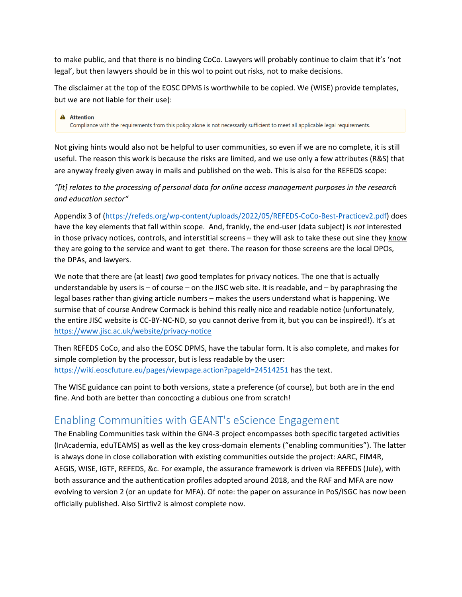to make public, and that there is no binding CoCo. Lawyers will probably continue to claim that it's 'not legal', but then lawyers should be in this wol to point out risks, not to make decisions.

The disclaimer at the top of the EOSC DPMS is worthwhile to be copied. We (WISE) provide templates, but we are not liable for their use):

**A** Attention Compliance with the requirements from this policy alone is not necessarily sufficient to meet all applicable legal requirements.

Not giving hints would also not be helpful to user communities, so even if we are no complete, it is still useful. The reason this work is because the risks are limited, and we use only a few attributes (R&S) that are anyway freely given away in mails and published on the web. This is also for the REFEDS scope:

### *"[it] relates to the processing of personal data for online access management purposes in the research and education sector"*

Appendix 3 of [\(https://refeds.org/wp-content/uploads/2022/05/REFEDS-CoCo-Best-Practicev2.pdf\)](https://refeds.org/wp-content/uploads/2022/05/REFEDS-CoCo-Best-Practicev2.pdf) does have the key elements that fall within scope. And, frankly, the end-user (data subject) is *not* interested in those privacy notices, controls, and interstitial screens – they will ask to take these out sine they know they are going to the service and want to get there. The reason for those screens are the local DPOs, the DPAs, and lawyers.

We note that there are (at least) *two* good templates for privacy notices. The one that is actually understandable by users is – of course – on the JISC web site. It is readable, and – by paraphrasing the legal bases rather than giving article numbers – makes the users understand what is happening. We surmise that of course Andrew Cormack is behind this really nice and readable notice (unfortunately, the entire JISC website is CC-BY-NC-ND, so you cannot derive from it, but you can be inspired!). It's at <https://www.jisc.ac.uk/website/privacy-notice>

Then REFEDS CoCo, and also the EOSC DPMS, have the tabular form. It is also complete, and makes for simple completion by the processor, but is less readable by the user: <https://wiki.eoscfuture.eu/pages/viewpage.action?pageId=24514251> has the text.

The WISE guidance can point to both versions, state a preference (of course), but both are in the end fine. And both are better than concocting a dubious one from scratch!

## <span id="page-8-0"></span>Enabling Communities with GEANT's eScience Engagement

The Enabling Communities task within the GN4-3 project encompasses both specific targeted activities (InAcademia, eduTEAMS) as well as the key cross-domain elements ("enabling communities"). The latter is always done in close collaboration with existing communities outside the project: AARC, FIM4R, AEGIS, WISE, IGTF, REFEDS, &c. For example, the assurance framework is driven via REFEDS (Jule), with both assurance and the authentication profiles adopted around 2018, and the RAF and MFA are now evolving to version 2 (or an update for MFA). Of note: the paper on assurance in PoS/ISGC has now been officially published. Also Sirtfiv2 is almost complete now.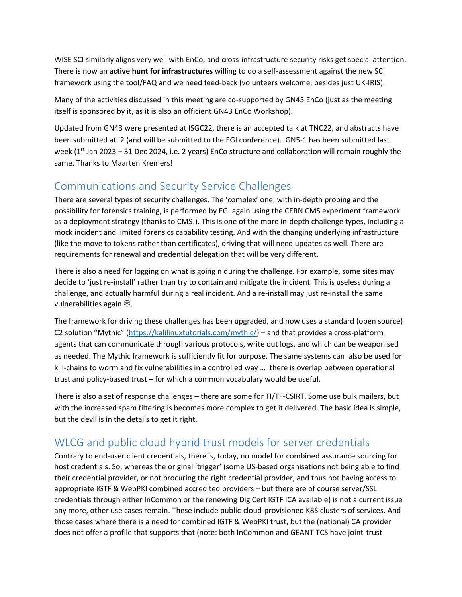WISE SCI similarly aligns very well with EnCo, and cross-infrastructure security risks get special attention. There is now an **active hunt for infrastructures** willing to do a self-assessment against the new SCI framework using the tool/FAQ and we need feed-back (volunteers welcome, besides just UK-IRIS).

Many of the activities discussed in this meeting are co-supported by GN43 EnCo (just as the meeting itself is sponsored by it, as it is also an officient GN43 EnCo Workshop).

Updated from GN43 were presented at ISGC22, there is an accepted talk at TNC22, and abstracts have been submitted at I2 (and will be submitted to the EGI conference). GN5-1 has been submitted last week ( $1<sup>st</sup>$  Jan 2023 – 31 Dec 2024, i.e. 2 years) EnCo structure and collaboration will remain roughly the same. Thanks to Maarten Kremers!

## <span id="page-9-0"></span>Communications and Security Service Challenges

There are several types of security challenges. The 'complex' one, with in-depth probing and the possibility for forensics training, is performed by EGI again using the CERN CMS experiment framework as a deployment strategy (thanks to CMS!). This is one of the more in-depth challenge types, including a mock incident and limited forensics capability testing. And with the changing underlying infrastructure (like the move to tokens rather than certificates), driving that will need updates as well. There are requirements for renewal and credential delegation that will be very different.

There is also a need for logging on what is going n during the challenge. For example, some sites may decide to 'just re-install' rather than try to contain and mitigate the incident. This is useless during a challenge, and actually harmful during a real incident. And a re-install may just re-install the same vulnerabilities again  $\odot$ .

The framework for driving these challenges has been upgraded, and now uses a standard (open source) C2 solution "Mythic" ([https://kalilinuxtutorials.com/mythic/\)](https://kalilinuxtutorials.com/mythic/) – and that provides a cross-platform agents that can communicate through various protocols, write out logs, and which can be weaponised as needed. The Mythic framework is sufficiently fit for purpose. The same systems can also be used for kill-chains to worm and fix vulnerabilities in a controlled way … there is overlap between operational trust and policy-based trust – for which a common vocabulary would be useful.

There is also a set of response challenges – there are some for TI/TF-CSIRT. Some use bulk mailers, but with the increased spam filtering is becomes more complex to get it delivered. The basic idea is simple, but the devil is in the details to get it right.

# <span id="page-9-1"></span>WLCG and public cloud hybrid trust models for server credentials

Contrary to end-user client credentials, there is, today, no model for combined assurance sourcing for host credentials. So, whereas the original 'trigger' (some US-based organisations not being able to find their credential provider, or not procuring the right credential provider, and thus not having access to appropriate IGTF & WebPKI combined accredited providers – but there are of course server/SSL credentials through either InCommon or the renewing DigiCert IGTF ICA available) is not a current issue any more, other use cases remain. These include public-cloud-provisioned K8S clusters of services. And those cases where there is a need for combined IGTF & WebPKI trust, but the (national) CA provider does not offer a profile that supports that (note: both InCommon and GEANT TCS have joint-trust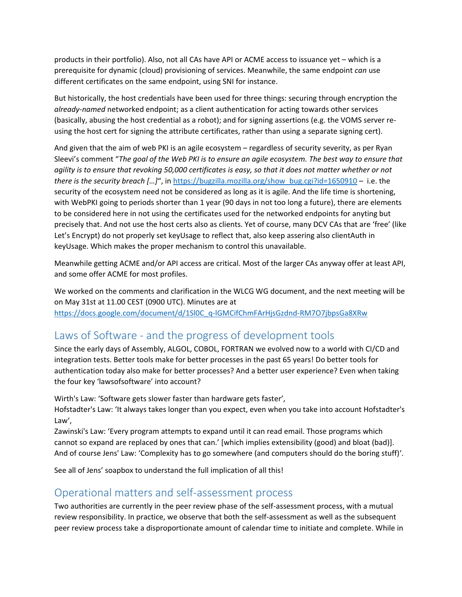products in their portfolio). Also, not all CAs have API or ACME access to issuance yet – which is a prerequisite for dynamic (cloud) provisioning of services. Meanwhile, the same endpoint *can* use different certificates on the same endpoint, using SNI for instance.

But historically, the host credentials have been used for three things: securing through encryption the *already-named* networked endpoint; as a client authentication for acting towards other services (basically, abusing the host credential as a robot); and for signing assertions (e.g. the VOMS server reusing the host cert for signing the attribute certificates, rather than using a separate signing cert).

And given that the aim of web PKI is an agile ecosystem – regardless of security severity, as per Ryan Sleevi's comment "*The goal of the Web PKI is to ensure an agile ecosystem. The best way to ensure that agility is to ensure that revoking 50,000 certificates is easy, so that it does not matter whether or not there is the security breach […]*", i[n https://bugzilla.mozilla.org/show\\_bug.cgi?id=1650910](https://bugzilla.mozilla.org/show_bug.cgi?id=1650910) – i.e. the security of the ecosystem need not be considered as long as it is agile. And the life time is shortening, with WebPKI going to periods shorter than 1 year (90 days in not too long a future), there are elements to be considered here in not using the certificates used for the networked endpoints for anyting but precisely that. And not use the host certs also as clients. Yet of course, many DCV CAs that are 'free' (like Let's Encrypt) do not properly set keyUsage to reflect that, also keep assering also clientAuth in keyUsage. Which makes the proper mechanism to control this unavailable.

Meanwhile getting ACME and/or API access are critical. Most of the larger CAs anyway offer at least API, and some offer ACME for most profiles.

We worked on the comments and clarification in the WLCG WG document, and the next meeting will be on May 31st at 11.00 CEST (0900 UTC). Minutes are at [https://docs.google.com/document/d/1Sl0C\\_q-lGMCifChmFArHjsGzdnd-RM7O7jbpsGa8XRw](https://docs.google.com/document/d/1Sl0C_q-lGMCifChmFArHjsGzdnd-RM7O7jbpsGa8XRw)

## <span id="page-10-0"></span>Laws of Software - and the progress of development tools

Since the early days of Assembly, ALGOL, COBOL, FORTRAN we evolved now to a world with CI/CD and integration tests. Better tools make for better processes in the past 65 years! Do better tools for authentication today also make for better processes? And a better user experience? Even when taking the four key 'lawsofsoftware' into account?

Wirth's Law: 'Software gets slower faster than hardware gets faster',

Hofstadter's Law: 'It always takes longer than you expect, even when you take into account Hofstadter's Law',

Zawinski's Law: 'Every program attempts to expand until it can read email. Those programs which cannot so expand are replaced by ones that can.' [which implies extensibility (good) and bloat (bad)]. And of course Jens' Law: 'Complexity has to go somewhere (and computers should do the boring stuff)'.

See all of Jens' soapbox to understand the full implication of all this!

### <span id="page-10-1"></span>Operational matters and self-assessment process

Two authorities are currently in the peer review phase of the self-assessment process, with a mutual review responsibility. In practice, we observe that both the self-assessment as well as the subsequent peer review process take a disproportionate amount of calendar time to initiate and complete. While in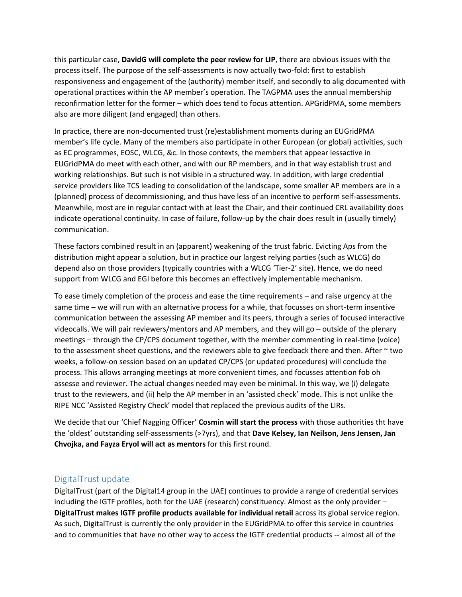this particular case, **DavidG will complete the peer review for LIP**, there are obvious issues with the process itself. The purpose of the self-assessments is now actually two-fold: first to establish responsiveness and engagement of the (authority) member itself, and secondly to alig documented with operational practices within the AP member's operation. The TAGPMA uses the annual membership reconfirmation letter for the former – which does tend to focus attention. APGridPMA, some members also are more diligent (and engaged) than others.

In practice, there are non-documented trust (re)establishment moments during an EUGridPMA member's life cycle. Many of the members also participate in other European (or global) activities, such as EC programmes, EOSC, WLCG, &c. In those contexts, the members that appear lessactive in EUGridPMA do meet with each other, and with our RP members, and in that way establish trust and working relationships. But such is not visible in a structured way. In addition, with large credential service providers like TCS leading to consolidation of the landscape, some smaller AP members are in a (planned) process of decommissioning, and thus have less of an incentive to perform self-assessments. Meanwhile, most are in regular contact with at least the Chair, and their continued CRL availability does indicate operational continuity. In case of failure, follow-up by the chair does result in (usually timely) communication.

These factors combined result in an (apparent) weakening of the trust fabric. Evicting Aps from the distribution might appear a solution, but in practice our largest relying parties (such as WLCG) do depend also on those providers (typically countries with a WLCG 'Tier-2' site). Hence, we do need support from WLCG and EGI before this becomes an effectively implementable mechanism.

To ease timely completion of the process and ease the time requirements – and raise urgency at the same time – we will run with an alternative process for a while, that focusses on short-term insentive communication between the assessing AP member and its peers, through a series of focused interactive videocalls. We will pair reviewers/mentors and AP members, and they will go – outside of the plenary meetings – through the CP/CPS document together, with the member commenting in real-time (voice) to the assessment sheet questions, and the reviewers able to give feedback there and then. After  $\sim$  two weeks, a follow-on session based on an updated CP/CPS (or updated procedures) will conclude the process. This allows arranging meetings at more convenient times, and focusses attention fob oh assesse and reviewer. The actual changes needed may even be minimal. In this way, we (i) delegate trust to the reviewers, and (ii) help the AP member in an 'assisted check' mode. This is not unlike the RIPE NCC 'Assisted Registry Check' model that replaced the previous audits of the LIRs.

We decide that our 'Chief Nagging Officer' **Cosmin will start the process** with those authorities tht have the 'oldest' outstanding self-assessments (>7yrs), and that **Dave Kelsey, Ian Neilson, Jens Jensen, Jan Chvojka, and Fayza Eryol will act as mentors** for this first round.

#### <span id="page-11-0"></span>DigitalTrust update

DigitalTrust (part of the Digital14 group in the UAE) continues to provide a range of credential services including the IGTF profiles, both for the UAE (research) constituency. Almost as the only provider – **DigitalTrust makes IGTF profile products available for individual retail** across its global service region. As such, DigitalTrust is currently the only provider in the EUGridPMA to offer this service in countries and to communities that have no other way to access the IGTF credential products -- almost all of the